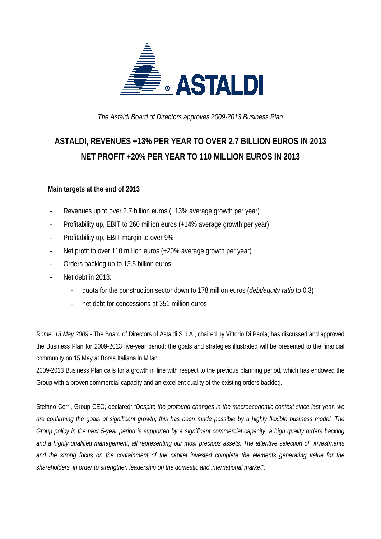

*The Astaldi Board of Directors approves 2009-2013 Business Plan* 

# **ASTALDI, REVENUES +13% PER YEAR TO OVER 2.7 BILLION EUROS IN 2013 NET PROFIT +20% PER YEAR TO 110 MILLION EUROS IN 2013**

## **Main targets at the end of 2013**

- Revenues up to over 2.7 billion euros (+13% average growth per year)
- Profitability up, EBIT to 260 million euros (+14% average growth per year)
- Profitability up, EBIT margin to over 9%
- Net profit to over 110 million euros (+20% average growth per year)
- Orders backlog up to 13.5 billion euros
- Net debt in 2013:
	- quota for the construction sector down to 178 million euros (*debt/equity ratio* to 0.3)
	- net debt for concessions at 351 million euros

*Rome, 13 May 2009* - The Board of Directors of Astaldi S.p.A., chaired by Vittorio Di Paola, has discussed and approved the Business Plan for 2009-2013 five-year period; the goals and strategies illustrated will be presented to the financial community on 15 May at Borsa Italiana in Milan.

2009-2013 Business Plan calls for a growth in line with respect to the previous planning period, which has endowed the Group with a proven commercial capacity and an excellent quality of the existing orders backlog.

Stefano Cerri, Group CEO, declared*: "Despite the profound changes in the macroeconomic context since last year, we are confirming the goals of significant growth; this has been made possible by a highly flexible business model. The Group policy in the next 5-year period is supported by a significant commercial capacity, a high quality orders backlog and a highly qualified management, all representing our most precious assets. The attentive selection of investments and the strong focus on the containment of the capital invested complete the elements generating value for the shareholders, in order to strengthen leadership on the domestic and international market".*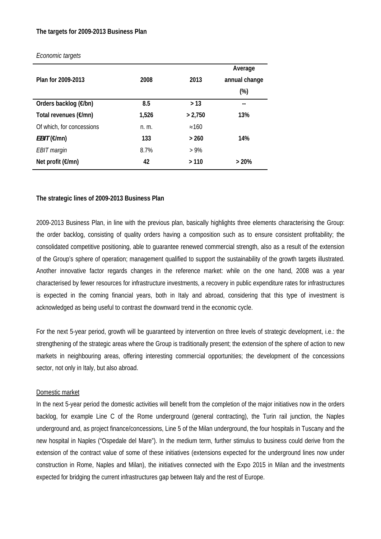#### **The targets for 2009-2013 Business Plan**

|                            |       |               | Average       |
|----------------------------|-------|---------------|---------------|
| Plan for 2009-2013         | 2008  | 2013          | annual change |
|                            |       |               | $(\%)$        |
| Orders backlog (€/bn)      | 8.5   | > 13          | --            |
| Total revenues (€/mn)      | 1,526 | > 2,750       | 13%           |
| Of which, for concessions  | n. m. | $\approx 160$ |               |
| $EBIT(\varepsilon/mn)$     | 133   | > 260         | 14%           |
| EBIT margin                | 8.7%  | $>9\%$        |               |
| Net profit $(\epsilon/mn)$ | 42    | >110          | >20%          |

#### *Economic targets*

#### **The strategic lines of 2009-2013 Business Plan**

2009-2013 Business Plan, in line with the previous plan, basically highlights three elements characterising the Group: the order backlog, consisting of quality orders having a composition such as to ensure consistent profitability; the consolidated competitive positioning, able to guarantee renewed commercial strength, also as a result of the extension of the Group's sphere of operation; management qualified to support the sustainability of the growth targets illustrated. Another innovative factor regards changes in the reference market: while on the one hand, 2008 was a year characterised by fewer resources for infrastructure investments, a recovery in public expenditure rates for infrastructures is expected in the coming financial years, both in Italy and abroad, considering that this type of investment is acknowledged as being useful to contrast the downward trend in the economic cycle.

For the next 5-year period, growth will be guaranteed by intervention on three levels of strategic development, i.e.: the strengthening of the strategic areas where the Group is traditionally present; the extension of the sphere of action to new markets in neighbouring areas, offering interesting commercial opportunities; the development of the concessions sector, not only in Italy, but also abroad.

#### Domestic market

In the next 5-year period the domestic activities will benefit from the completion of the major initiatives now in the orders backlog, for example Line C of the Rome underground (general contracting), the Turin rail junction, the Naples underground and, as project finance/concessions, Line 5 of the Milan underground, the four hospitals in Tuscany and the new hospital in Naples ("Ospedale del Mare"). In the medium term, further stimulus to business could derive from the extension of the contract value of some of these initiatives (extensions expected for the underground lines now under construction in Rome, Naples and Milan), the initiatives connected with the Expo 2015 in Milan and the investments expected for bridging the current infrastructures gap between Italy and the rest of Europe.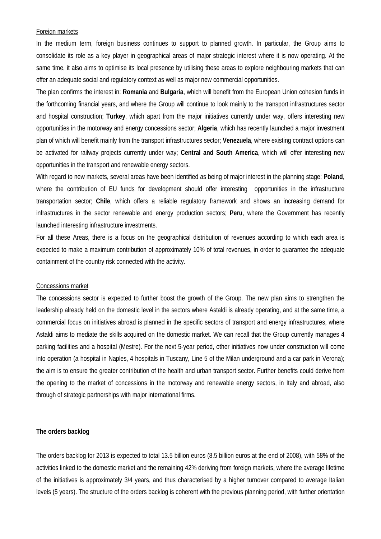#### Foreign markets

In the medium term, foreign business continues to support to planned growth. In particular, the Group aims to consolidate its role as a key player in geographical areas of major strategic interest where it is now operating. At the same time, it also aims to optimise its local presence by utilising these areas to explore neighbouring markets that can offer an adequate social and regulatory context as well as major new commercial opportunities.

The plan confirms the interest in: **Romania** and **Bulgaria**, which will benefit from the European Union cohesion funds in the forthcoming financial years, and where the Group will continue to look mainly to the transport infrastructures sector and hospital construction; **Turkey**, which apart from the major initiatives currently under way, offers interesting new opportunities in the motorway and energy concessions sector; **Algeria**, which has recently launched a major investment plan of which will benefit mainly from the transport infrastructures sector; **Venezuela**, where existing contract options can be activated for railway projects currently under way; **Central and South America**, which will offer interesting new opportunities in the transport and renewable energy sectors.

With regard to new markets, several areas have been identified as being of major interest in the planning stage: **Poland**, where the contribution of EU funds for development should offer interesting opportunities in the infrastructure transportation sector; **Chile**, which offers a reliable regulatory framework and shows an increasing demand for infrastructures in the sector renewable and energy production sectors; **Peru**, where the Government has recently launched interesting infrastructure investments.

For all these Areas, there is a focus on the geographical distribution of revenues according to which each area is expected to make a maximum contribution of approximately 10% of total revenues, in order to guarantee the adequate containment of the country risk connected with the activity.

#### Concessions market

The concessions sector is expected to further boost the growth of the Group. The new plan aims to strengthen the leadership already held on the domestic level in the sectors where Astaldi is already operating, and at the same time, a commercial focus on initiatives abroad is planned in the specific sectors of transport and energy infrastructures, where Astaldi aims to mediate the skills acquired on the domestic market. We can recall that the Group currently manages 4 parking facilities and a hospital (Mestre). For the next 5-year period, other initiatives now under construction will come into operation (a hospital in Naples, 4 hospitals in Tuscany, Line 5 of the Milan underground and a car park in Verona); the aim is to ensure the greater contribution of the health and urban transport sector. Further benefits could derive from the opening to the market of concessions in the motorway and renewable energy sectors, in Italy and abroad, also through of strategic partnerships with major international firms.

#### **The orders backlog**

The orders backlog for 2013 is expected to total 13.5 billion euros (8.5 billion euros at the end of 2008), with 58% of the activities linked to the domestic market and the remaining 42% deriving from foreign markets, where the average lifetime of the initiatives is approximately 3/4 years, and thus characterised by a higher turnover compared to average Italian levels (5 years). The structure of the orders backlog is coherent with the previous planning period, with further orientation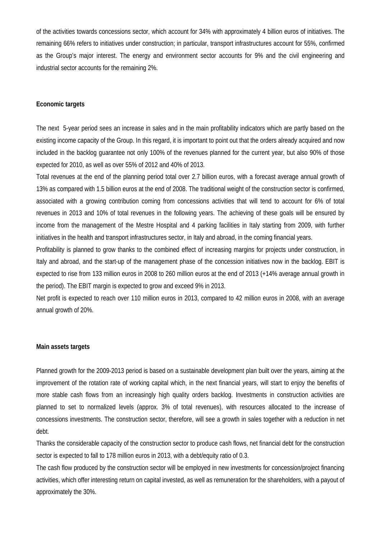of the activities towards concessions sector, which account for 34% with approximately 4 billion euros of initiatives. The remaining 66% refers to initiatives under construction; in particular, transport infrastructures account for 55%, confirmed as the Group's major interest. The energy and environment sector accounts for 9% and the civil engineering and industrial sector accounts for the remaining 2%.

#### **Economic targets**

The next 5-year period sees an increase in sales and in the main profitability indicators which are partly based on the existing income capacity of the Group. In this regard, it is important to point out that the orders already acquired and now included in the backlog guarantee not only 100% of the revenues planned for the current year, but also 90% of those expected for 2010, as well as over 55% of 2012 and 40% of 2013.

Total revenues at the end of the planning period total over 2.7 billion euros, with a forecast average annual growth of 13% as compared with 1.5 billion euros at the end of 2008. The traditional weight of the construction sector is confirmed, associated with a growing contribution coming from concessions activities that will tend to account for 6% of total revenues in 2013 and 10% of total revenues in the following years. The achieving of these goals will be ensured by income from the management of the Mestre Hospital and 4 parking facilities in Italy starting from 2009, with further initiatives in the health and transport infrastructures sector, in Italy and abroad, in the coming financial years.

Profitability is planned to grow thanks to the combined effect of increasing margins for projects under construction, in Italy and abroad, and the start-up of the management phase of the concession initiatives now in the backlog. EBIT is expected to rise from 133 million euros in 2008 to 260 million euros at the end of 2013 (+14% average annual growth in the period). The EBIT margin is expected to grow and exceed 9% in 2013.

Net profit is expected to reach over 110 million euros in 2013, compared to 42 million euros in 2008, with an average annual growth of 20%.

#### **Main assets targets**

Planned growth for the 2009-2013 period is based on a sustainable development plan built over the years, aiming at the improvement of the rotation rate of working capital which, in the next financial years, will start to enjoy the benefits of more stable cash flows from an increasingly high quality orders backlog. Investments in construction activities are planned to set to normalized levels (approx. 3% of total revenues), with resources allocated to the increase of concessions investments. The construction sector, therefore, will see a growth in sales together with a reduction in net debt.

Thanks the considerable capacity of the construction sector to produce cash flows, net financial debt for the construction sector is expected to fall to 178 million euros in 2013, with a debt/equity ratio of 0.3.

The cash flow produced by the construction sector will be employed in new investments for concession/project financing activities, which offer interesting return on capital invested, as well as remuneration for the shareholders, with a payout of approximately the 30%.